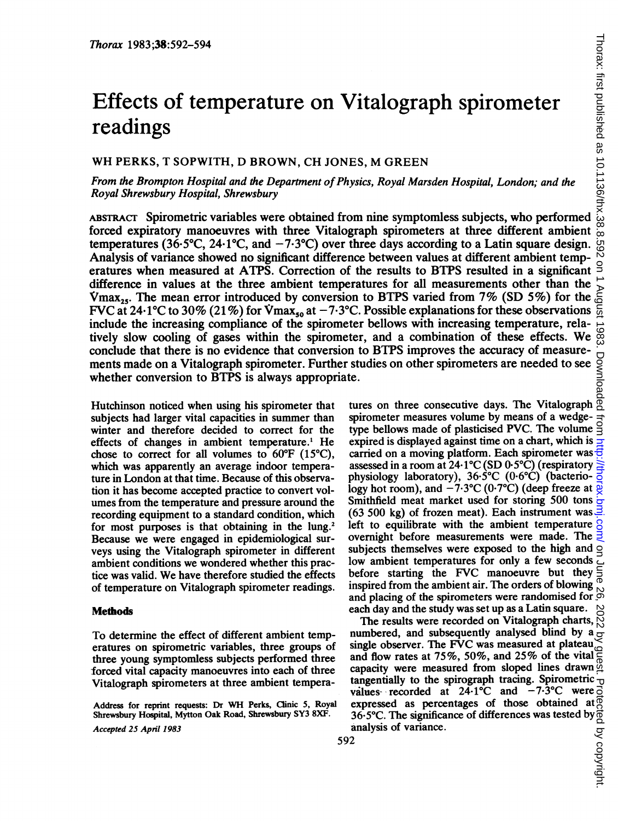# Effects of temperature on Vitalograph spirometer readings

## WH PERKS, <sup>T</sup> SOPWITH, D BROWN, CH JONES, M GREEN

From the Brompton Hospital and the Department of Physics, Royal Marsden Hospital, London; and the Royal Shrewsbury Hospital, Shrewsbury

ABsTRAcr Spirometric variables were obtained from nine symptomless subjects, who performed forced expiratory manoeuvres with three Vitalograph spirometers at three different ambient temperatures (36.5 $^{\circ}$ C, 24.1 $^{\circ}$ C, and  $-7.3^{\circ}$ C) over three days according to a Latin square design. Analysis of variance showed no significant difference between values at different ambient temperatures when measured at ATPS. Correction of the results to BTPS resulted in a significant difference in values at the three ambient temperatures for all measurements other than the  $V_{\text{max}_{25}}$ . The mean error introduced by conversion to BTPS varied from 7% (SD 5%) for the FVC at 24.1°C to 30% (21%) for Vmax<sub>50</sub> at  $-7.3$ °C. Possible explanations for these observations include the increasing compliance of the spirometer bellows with increasing temperature, relatively slow cooling of gases within the spirometer, and <sup>a</sup> combination of these effects. We conclude that there is no evidence that conversion to BTPS improves the accuracy of measurements made on a Vitalograph spirometer. Further studies on other spirometers are needed to see whether conversion to BTPS is always appropriate. tures on three consecutive days. The Vitalograph

Hutchinson noticed when using his spirometer that subjects had larger vital capacities in summer than winter and therefore decided to correct for the effects of changes in ambient temperature.' He chose to correct for all volumes to 60°F (15°C), which was apparently an average indoor temperature in London at that time. Because of this observation it has become accepted practice to convert volumes from the temperature and pressure around the recording equipment to a standard condition, which for most purposes is that obtaining in the lung.<sup>2</sup> Because we were engaged in epidemiological surveys using the Vitalograph spirometer in different ambient conditions we wondered whether this practice was valid. We have therefore studied the effects of temperature on Vitalograph spirometer readings.

## **Methods**

To determine the effect of different ambient temperatures on spirometric variables, three groups of three young symptomless subjects performed three forced vital capacity manoeuvres into each of three Vitalograph spirometers at three ambient tempera-

Address for reprint requests: Dr WH Perks, Clinic 5, Royal Shrewsbury Hospital, Mytton Oak Road, Shrewsbury SY3 8XF. Accepted 25 April 1983

spirometer measures volume by means of a wedgetype bellows made of plasticised PVC. The volume expired is displayed against time on a chart, which is carried on a moving platform. Each spirometer was assessed in a room at 24.1°C (SD 0.5°C) (respiratory physiology laboratory),  $36.5^{\circ}$ C (0.6 $^{\circ}$ C) (bacteriology hot room), and  $-7.3$ °C (0.7°C) (deep freeze at Smithfield meat market used for storing 500 tons (63 500 kg) of frozen meat). Each instrument was left to equilibrate with the ambient temperature overnight before measurements were made. The subjects themselves were exposed to the high and low ambient temperatures for only a few seconds before starting the FVC manoeuvre but they inspired from the ambient air. The orders of blowing and placing of the spirometers were randomised for  $\frac{6}{5}$ each day and the study was set up as a Latin square.

The results were recorded on Vitalograph charts, numbered, and subsequently analysed blind by  $a \circ \overline{b}$ single observer. The FVC was measured at plateau and flow rates at 75%, 50%, and 25% of the vital capacity were measured from sloped lines drawn  $\frac{36}{2}$ tangentially to the spirograph tracing. Spirometric  $\nu$  values recorded at 24.1°C and  $-7.3$ °C were  $\overline{0}$ values recorded at  $24.1^{\circ}$ C and  $-7.3^{\circ}$ C were expressed as percentages of those obtained at 36-5°C. The significance of differences was tested by analysis of variance.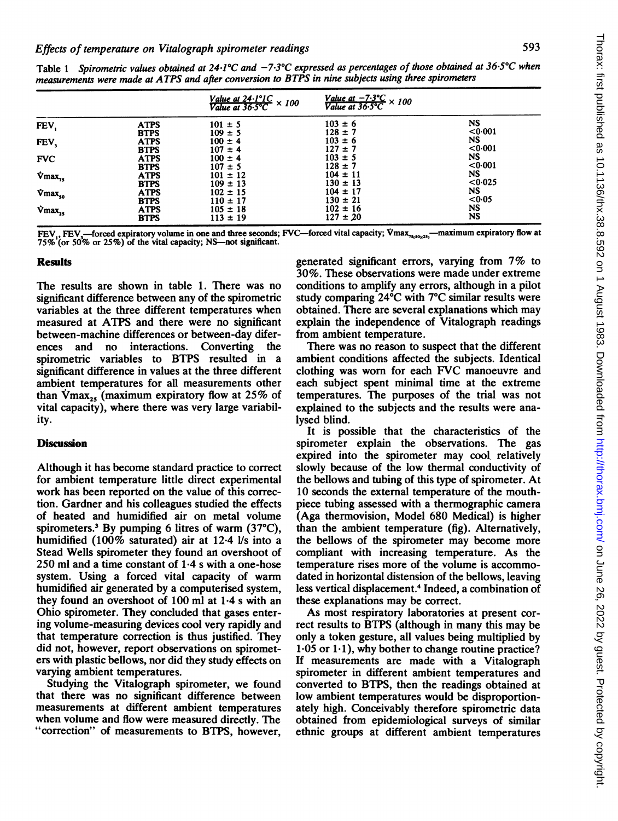|                                      |             | Value at $24 \cdot 1^{\circ}1C$ × 100<br>Value at $36 \cdot 5^{\circ}C$ × 100 | Value at $-7.3^{\circ}C$ × 100<br>Value at $36.5^{\circ}C$ × 100 |           |  |
|--------------------------------------|-------------|-------------------------------------------------------------------------------|------------------------------------------------------------------|-----------|--|
| FEV.                                 | <b>ATPS</b> | $101 \pm 5$                                                                   | $103 = 6$                                                        | <b>NS</b> |  |
|                                      | <b>BTPS</b> | $109 \pm 5$                                                                   | $128 \pm 7$                                                      | <0.001    |  |
| FEV,                                 | <b>ATPS</b> | $100 \pm 4$                                                                   | $103 = 6$                                                        | NS.       |  |
|                                      | <b>BTPS</b> | $107 \pm 4$                                                                   | $127 \pm 7$                                                      | < 0.001   |  |
| <b>FVC</b>                           | <b>ATPS</b> | $100 \pm 4$                                                                   | $103 \pm 5$                                                      | NS        |  |
|                                      | <b>BTPS</b> | $107 \pm 5$                                                                   | $128 \pm 7$                                                      | <0.001    |  |
| $\mathbf{\dot{V}}$ max <sub>75</sub> | <b>ATPS</b> | $101 \pm 12$                                                                  | $104 \pm 11$                                                     | NS.       |  |
|                                      | <b>BTPS</b> | $109 \pm 13$                                                                  | $130 \pm 13$                                                     | < 0.025   |  |
| $\nabla$ max <sub>50</sub>           | <b>ATPS</b> | $102 \pm 15$                                                                  | $104 \pm 17$                                                     | NS.       |  |
|                                      | <b>BTPS</b> | $110 \pm 17$                                                                  | $130 \pm 21$                                                     | <0.05     |  |
| $\mathbf{\dot{V}}$ max <sub>25</sub> | <b>ATPS</b> | $105 \pm 18$                                                                  | $102 \pm 16$                                                     | NS        |  |
|                                      | <b>BTPS</b> | $113 \pm 19$                                                                  | $127 \pm 20$                                                     | <b>NS</b> |  |

Table 1 Spirometric values obtained at 24.1°C and  $-7.3$ °C expressed as percentages of those obtained at 36.5°C when measurements were made at ATPS and after conversion to BTPS in nine subjects using three spirometers

FEV, FEV,—forced expiratory volume in one and three seconds; FVC—forced vital capacity; Vmax,<sub>1,10,2</sub>,—maximum expiratory flow at<br>75% (or 50% or 25%) of the vital capacity; NS—not significant.

### Results

The results are shown in table 1. There was no significant difference between any of the spirometric variables at the three different temperatures when measured at ATPS and there were no significant between-machine differences or between-day diferences and no interactions. Converting the spirometric variables to BTPS resulted in a significant difference in values at the three different ambient temperatures for all measurements other than  $\text{Vmax}_{25}$  (maximum expiratory flow at 25% of vital capacity), where there was very large variability.

## Discussion

Although it has become standard practice to correct for ambient temperature little direct experimental work has been reported on the value of this correction. Gardner and his colleagues studied the effects of heated and humidified air on metal volume spirometers.3 By pumping 6 litres of warm (37°C), humidified (100% saturated) air at 12-4 I/s into a Stead Wells spirometer they found an overshoot of  $250$  ml and a time constant of  $1.4$  s with a one-hose system. Using a forced vital capacity of warm humidified air generated by a computerised system, they found an overshoot of 100 ml at 1-4 <sup>s</sup> with an Ohio spirometer. They concluded that gases entering volume-measuring devices cool very rapidly and that temperature correction is thus justified. They did not, however, report observations on spirometers with plastic bellows, nor did they study effects on varying ambient temperatures.

Studying the Vitalograph spirometer, we found that there was no significant difference between measurements at different ambient temperatures when volume and flow were measured directly. The "correction" of measurements to BTPS, however,

generated significant errors, varying from 7% to 30%. These observations were made under extreme conditions to amplify any errors, although in a pilot study comparing 24°C with 7°C similar results were obtained. There are several explanations which may explain the independence of Vitalograph readings from ambient temperature.

There was no reason to suspect that the different ambient conditions affected the subjects. Identical clothing was worn for each FVC manoeuvre and each subject spent minimal time at the extreme temperatures. The purposes of the trial was not explained to the subjects and the results were analysed blind.

It is possible that the characteristics of the spirometer explain the observations. The gas expired into the spirometer may cool relatively slowly because of the low thermal conductivity of the bellows and tubing of this type of spirometer. At 10 seconds the external temperature of the mouthpiece tubing assessed with a thermographic camera (Aga thermovision, Model 680 Medical) is higher than the ambient temperature (fig). Alternatively, the bellows of the spirometer may become more compliant with increasing temperature. As the temperature rises more of the volume is accommodated in horizontal distension of the bellows, leaving less vertical displacement.4 Indeed, a combination of these explanations may be correct.

As most respiratory laboratories at present correct results to BTPS (although in many this may be only a token gesture, all values being multiplied by  $1-05$  or  $1-1$ ), why bother to change routine practice? If measurements are made with a Vitalograph spirometer in different ambient temperatures and converted to BTPS, then the readings obtained at low ambient temperatures would be disproportionately high. Conceivably therefore spirometric data obtained from epidemiological surveys of similar ethnic groups at different ambient temperatures